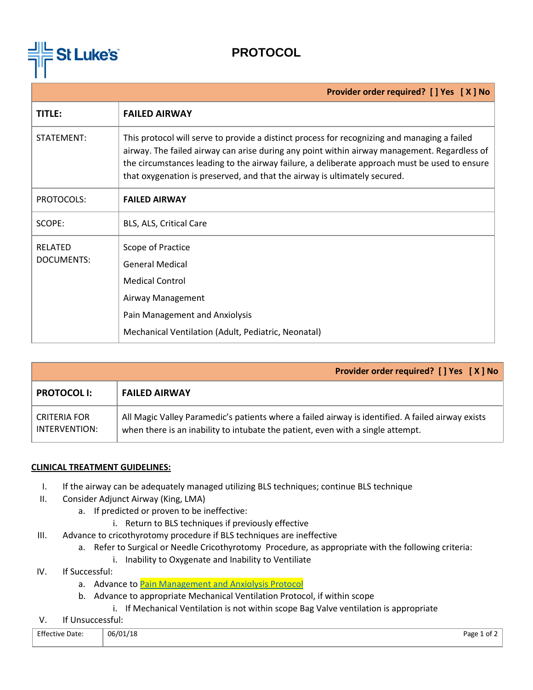

## **PROTOCOL**

|                                     | Provider order required? [ ] Yes [ X ] No                                                                                                                                                                                                                                                                                                                                  |
|-------------------------------------|----------------------------------------------------------------------------------------------------------------------------------------------------------------------------------------------------------------------------------------------------------------------------------------------------------------------------------------------------------------------------|
| TITLE:                              | <b>FAILED AIRWAY</b>                                                                                                                                                                                                                                                                                                                                                       |
| STATEMENT:                          | This protocol will serve to provide a distinct process for recognizing and managing a failed<br>airway. The failed airway can arise during any point within airway management. Regardless of<br>the circumstances leading to the airway failure, a deliberate approach must be used to ensure<br>that oxygenation is preserved, and that the airway is ultimately secured. |
| PROTOCOLS:                          | <b>FAILED AIRWAY</b>                                                                                                                                                                                                                                                                                                                                                       |
| SCOPE:                              | BLS, ALS, Critical Care                                                                                                                                                                                                                                                                                                                                                    |
| <b>RELATED</b><br><b>DOCUMENTS:</b> | Scope of Practice<br><b>General Medical</b><br><b>Medical Control</b><br>Airway Management<br>Pain Management and Anxiolysis<br>Mechanical Ventilation (Adult, Pediatric, Neonatal)                                                                                                                                                                                        |

|                               | Provider order required? [ ] Yes [ X ] No                                                                                                                                            |  |
|-------------------------------|--------------------------------------------------------------------------------------------------------------------------------------------------------------------------------------|--|
| <b>PROTOCOL I:</b>            | <b>FAILED AIRWAY</b>                                                                                                                                                                 |  |
| CRITERIA FOR<br>INTERVENTION: | All Magic Valley Paramedic's patients where a failed airway is identified. A failed airway exists<br>when there is an inability to intubate the patient, even with a single attempt. |  |

## **CLINICAL TREATMENT GUIDELINES:**

- I. If the airway can be adequately managed utilizing BLS techniques; continue BLS technique
- II. Consider Adjunct Airway (King, LMA)
	- a. If predicted or proven to be ineffective:
		- i. Return to BLS techniques if previously effective
- III. Advance to cricothyrotomy procedure if BLS techniques are ineffective
	- a. Refer to Surgical or Needle Cricothyrotomy Procedure, as appropriate with the following criteria:
		- i. Inability to Oxygenate and Inability to Ventiliate
- IV. If Successful:
	- a. Advance t[o Pain Management and Anxiolysis Protocol](https://docs.wixstatic.com/ugd/44292f_a92b54e1adb145f9a1a2224a516cf0ce.pdf)
	- b. Advance to appropriate Mechanical Ventilation Protocol, if within scope
		- i. If Mechanical Ventilation is not within scope Bag Valve ventilation is appropriate
- V. If Unsuccessful:

| <b>Effective Date:</b><br>. | 06/01/18 | . .<br>Page<br>. ot י |
|-----------------------------|----------|-----------------------|
|                             |          |                       |